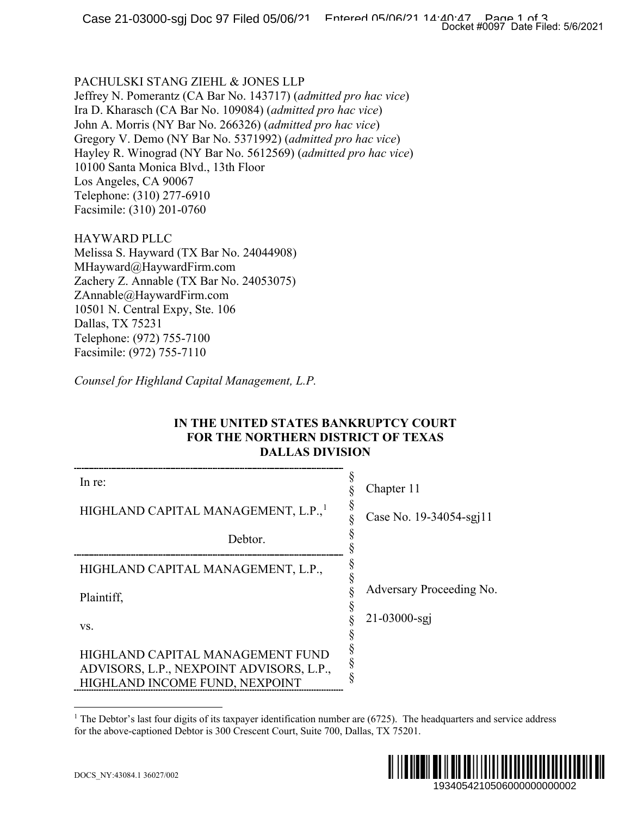#### PACHULSKI STANG ZIEHL & JONES LLP

### HAYWARD PLLC

## <span id="page-0-0"></span>**IN THE UNITED STATES BANKRUPTCY COURT FOR THE NORTHERN DISTRICT OF TEXAS DALLAS DIVISION**

|                                                                                                                                                                                                                                                                                                                                                                                                                                                                                                           | Docket #0097 Date Filed: 5/6/2021 |
|-----------------------------------------------------------------------------------------------------------------------------------------------------------------------------------------------------------------------------------------------------------------------------------------------------------------------------------------------------------------------------------------------------------------------------------------------------------------------------------------------------------|-----------------------------------|
| PACHULSKI STANG ZIEHL & JONES LLP<br>Jeffrey N. Pomerantz (CA Bar No. 143717) (admitted pro hac vice)<br>Ira D. Kharasch (CA Bar No. 109084) ( <i>admitted pro hac vice</i> )<br>John A. Morris (NY Bar No. 266326) (admitted pro hac vice)<br>Gregory V. Demo (NY Bar No. 5371992) (admitted pro hac vice)<br>Hayley R. Winograd (NY Bar No. 5612569) (admitted pro hac vice)<br>10100 Santa Monica Blvd., 13th Floor<br>Los Angeles, CA 90067<br>Telephone: (310) 277-6910<br>Facsimile: (310) 201-0760 |                                   |
| HAYWARD PLLC<br>Melissa S. Hayward (TX Bar No. 24044908)<br>MHayward@HaywardFirm.com<br>Zachery Z. Annable (TX Bar No. 24053075)<br>ZAnnable@HaywardFirm.com<br>10501 N. Central Expy, Ste. 106<br>Dallas, TX 75231<br>Telephone: (972) 755-7100<br>Facsimile: (972) 755-7110<br>Counsel for Highland Capital Management, L.P.<br>IN THE UNITED STATES BANKRUPTCY COURT<br><b>FOR THE NORTHERN DISTRICT OF TEXAS</b>                                                                                      |                                   |
| <b>DALLAS DIVISION</b>                                                                                                                                                                                                                                                                                                                                                                                                                                                                                    | §                                 |
| In re:                                                                                                                                                                                                                                                                                                                                                                                                                                                                                                    | Chapter 11<br>§                   |
| HIGHLAND CAPITAL MANAGEMENT, L.P.,                                                                                                                                                                                                                                                                                                                                                                                                                                                                        | §<br>Case No. 19-34054-sgj11      |
| Debtor.                                                                                                                                                                                                                                                                                                                                                                                                                                                                                                   | §                                 |
| HIGHLAND CAPITAL MANAGEMENT, L.P.,                                                                                                                                                                                                                                                                                                                                                                                                                                                                        | §<br>§<br>§                       |
| Plaintiff,                                                                                                                                                                                                                                                                                                                                                                                                                                                                                                | Adversary Proceeding No.          |
| VS.                                                                                                                                                                                                                                                                                                                                                                                                                                                                                                       | §<br>21-03000-sgj<br>§<br>§       |
| HIGHLAND CAPITAL MANAGEMENT FUND<br>ADVISORS, L.P., NEXPOINT ADVISORS, L.P.,<br>HIGHLAND INCOME FUND, NEXPOINT                                                                                                                                                                                                                                                                                                                                                                                            | §<br>ş                            |
| The Debtor's last four digits of its taxpayer identification number are (6725). The headquarters and service address<br>for the above-captioned Debtor is 300 Crescent Court, Suite 700, Dallas, TX 75201.                                                                                                                                                                                                                                                                                                |                                   |
| DOCS_NY:43084.1 36027/002                                                                                                                                                                                                                                                                                                                                                                                                                                                                                 | 1934054210506000000000002         |

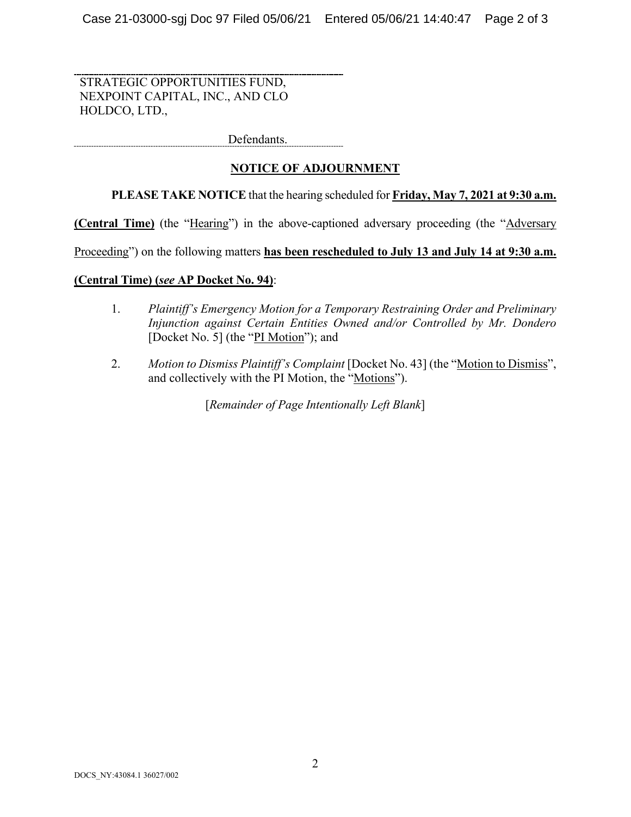STRATEGIC OPPORTUNITIES FUND, NEXPOINT CAPITAL, INC., AND CLO HOLDCO, LTD.,

Defendants. ------------------------------------

# **NOTICE OF ADJOURNMENT**

# **PLEASE TAKE NOTICE** that the hearing scheduled for **Friday, May 7, 2021 at 9:30 a.m.**

**(Central Time)** (the "Hearing") in the above-captioned adversary proceeding (the "Adversary

Proceeding") on the following matters has been rescheduled to July 13 and July 14 at 9:30 a.m.

## **(Central Time) (***see* **AP Docket No. 94)**:

- 1. *Plaintiff's Emergency Motion for a Temporary Restraining Order and Preliminary Injunction against Certain Entities Owned and/or Controlled by Mr. Dondero* [Docket No. 5] (the "PI Motion"); and
- 2. *Motion to Dismiss Plaintiff's Complaint* [Docket No. 43] (the "Motion to Dismiss", and collectively with the PI Motion, the "Motions").

[*Remainder of Page Intentionally Left Blank*]